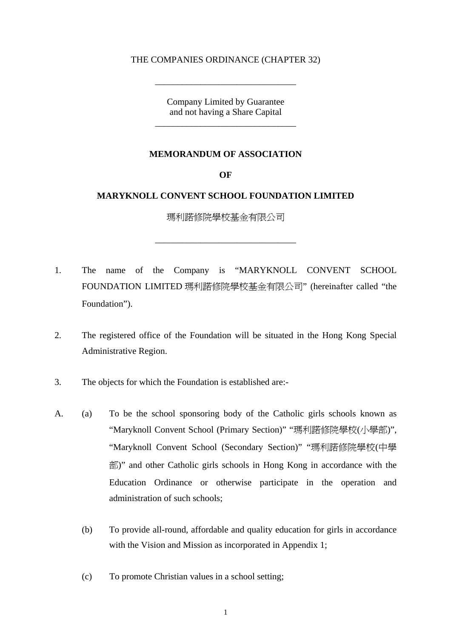## THE COMPANIES ORDINANCE (CHAPTER 32)

\_\_\_\_\_\_\_\_\_\_\_\_\_\_\_\_\_\_\_\_\_\_\_\_\_\_\_\_\_\_\_

Company Limited by Guarantee and not having a Share Capital

\_\_\_\_\_\_\_\_\_\_\_\_\_\_\_\_\_\_\_\_\_\_\_\_\_\_\_\_\_\_\_

### **MEMORANDUM OF ASSOCIATION**

**OF** 

# **MARYKNOLL CONVENT SCHOOL FOUNDATION LIMITED**

瑪利諾修院學校基金有限公司

\_\_\_\_\_\_\_\_\_\_\_\_\_\_\_\_\_\_\_\_\_\_\_\_\_\_\_\_\_\_\_

- 1. The name of the Company is "MARYKNOLL CONVENT SCHOOL FOUNDATION LIMITED 瑪利諾修院學校基金有限公司" (hereinafter called "the Foundation").
- 2. The registered office of the Foundation will be situated in the Hong Kong Special Administrative Region.
- 3. The objects for which the Foundation is established are:-
- A. (a) To be the school sponsoring body of the Catholic girls schools known as "Maryknoll Convent School (Primary Section)" "瑪利諾修院學校(小學部)", "Maryknoll Convent School (Secondary Section)" "瑪利諾修院學校(中學 部)" and other Catholic girls schools in Hong Kong in accordance with the Education Ordinance or otherwise participate in the operation and administration of such schools;
	- (b) To provide all-round, affordable and quality education for girls in accordance with the Vision and Mission as incorporated in Appendix 1;
	- (c) To promote Christian values in a school setting;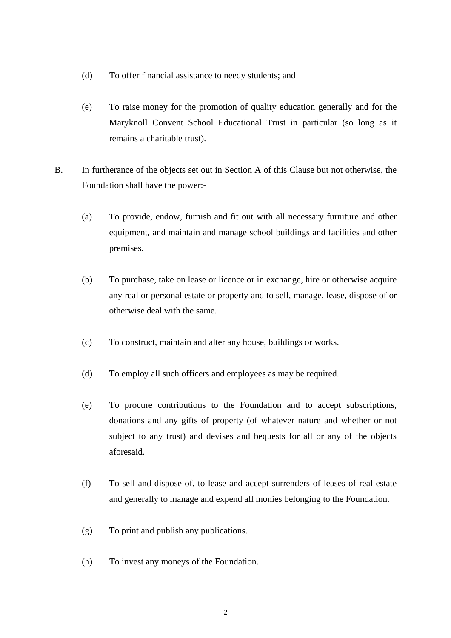- (d) To offer financial assistance to needy students; and
- (e) To raise money for the promotion of quality education generally and for the Maryknoll Convent School Educational Trust in particular (so long as it remains a charitable trust).
- B. In furtherance of the objects set out in Section A of this Clause but not otherwise, the Foundation shall have the power:-
	- (a) To provide, endow, furnish and fit out with all necessary furniture and other equipment, and maintain and manage school buildings and facilities and other premises.
	- (b) To purchase, take on lease or licence or in exchange, hire or otherwise acquire any real or personal estate or property and to sell, manage, lease, dispose of or otherwise deal with the same.
	- (c) To construct, maintain and alter any house, buildings or works.
	- (d) To employ all such officers and employees as may be required.
	- (e) To procure contributions to the Foundation and to accept subscriptions, donations and any gifts of property (of whatever nature and whether or not subject to any trust) and devises and bequests for all or any of the objects aforesaid.
	- (f) To sell and dispose of, to lease and accept surrenders of leases of real estate and generally to manage and expend all monies belonging to the Foundation.
	- (g) To print and publish any publications.
	- (h) To invest any moneys of the Foundation.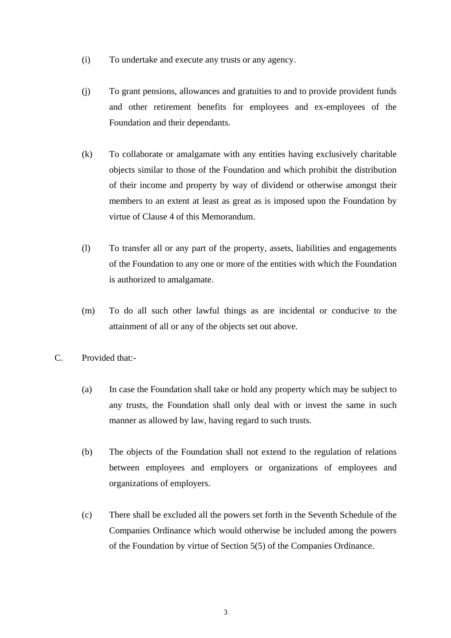- (i) To undertake and execute any trusts or any agency.
- (j) To grant pensions, allowances and gratuities to and to provide provident funds and other retirement benefits for employees and ex-employees of the Foundation and their dependants.
- (k) To collaborate or amalgamate with any entities having exclusively charitable objects similar to those of the Foundation and which prohibit the distribution of their income and property by way of dividend or otherwise amongst their members to an extent at least as great as is imposed upon the Foundation by virtue of Clause 4 of this Memorandum.
- (l) To transfer all or any part of the property, assets, liabilities and engagements of the Foundation to any one or more of the entities with which the Foundation is authorized to amalgamate.
- (m) To do all such other lawful things as are incidental or conducive to the attainment of all or any of the objects set out above.
- C. Provided that:-
	- (a) In case the Foundation shall take or hold any property which may be subject to any trusts, the Foundation shall only deal with or invest the same in such manner as allowed by law, having regard to such trusts.
	- (b) The objects of the Foundation shall not extend to the regulation of relations between employees and employers or organizations of employees and organizations of employers.
	- (c) There shall be excluded all the powers set forth in the Seventh Schedule of the Companies Ordinance which would otherwise be included among the powers of the Foundation by virtue of Section 5(5) of the Companies Ordinance.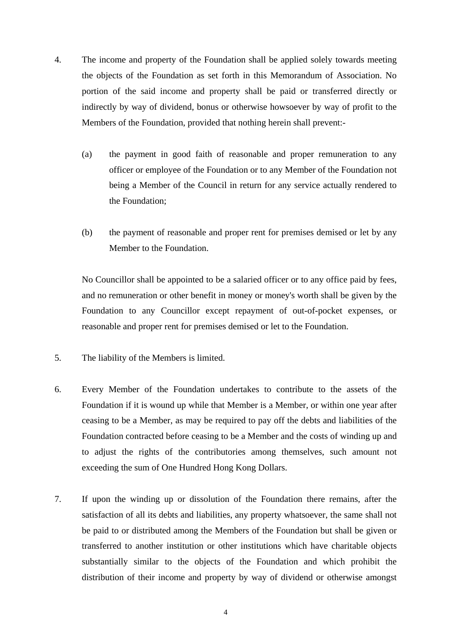- 4. The income and property of the Foundation shall be applied solely towards meeting the objects of the Foundation as set forth in this Memorandum of Association. No portion of the said income and property shall be paid or transferred directly or indirectly by way of dividend, bonus or otherwise howsoever by way of profit to the Members of the Foundation, provided that nothing herein shall prevent:-
	- (a) the payment in good faith of reasonable and proper remuneration to any officer or employee of the Foundation or to any Member of the Foundation not being a Member of the Council in return for any service actually rendered to the Foundation;
	- (b) the payment of reasonable and proper rent for premises demised or let by any Member to the Foundation.

No Councillor shall be appointed to be a salaried officer or to any office paid by fees, and no remuneration or other benefit in money or money's worth shall be given by the Foundation to any Councillor except repayment of out-of-pocket expenses, or reasonable and proper rent for premises demised or let to the Foundation.

- 5. The liability of the Members is limited.
- 6. Every Member of the Foundation undertakes to contribute to the assets of the Foundation if it is wound up while that Member is a Member, or within one year after ceasing to be a Member, as may be required to pay off the debts and liabilities of the Foundation contracted before ceasing to be a Member and the costs of winding up and to adjust the rights of the contributories among themselves, such amount not exceeding the sum of One Hundred Hong Kong Dollars.
- 7. If upon the winding up or dissolution of the Foundation there remains, after the satisfaction of all its debts and liabilities, any property whatsoever, the same shall not be paid to or distributed among the Members of the Foundation but shall be given or transferred to another institution or other institutions which have charitable objects substantially similar to the objects of the Foundation and which prohibit the distribution of their income and property by way of dividend or otherwise amongst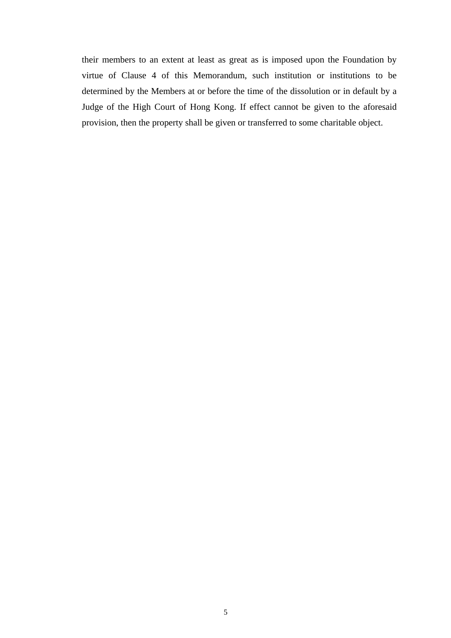their members to an extent at least as great as is imposed upon the Foundation by virtue of Clause 4 of this Memorandum, such institution or institutions to be determined by the Members at or before the time of the dissolution or in default by a Judge of the High Court of Hong Kong. If effect cannot be given to the aforesaid provision, then the property shall be given or transferred to some charitable object.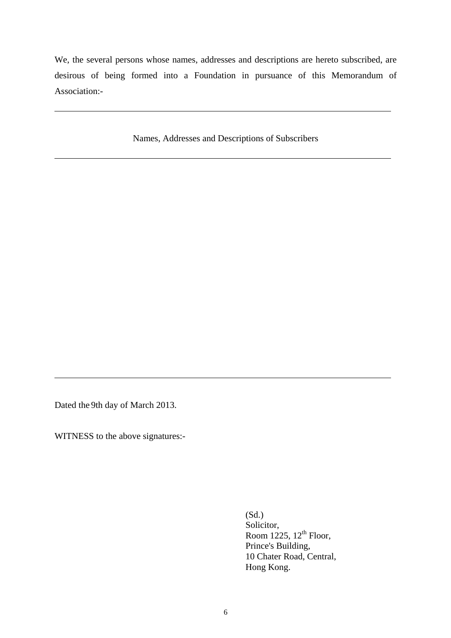We, the several persons whose names, addresses and descriptions are hereto subscribed, are desirous of being formed into a Foundation in pursuance of this Memorandum of Association:-

Names, Addresses and Descriptions of Subscribers

Dated the 9th day of March 2013.

WITNESS to the above signatures:-

(Sd.) Solicitor, Room  $1225$ ,  $12^{\text{th}}$  Floor, Prince's Building, 10 Chater Road, Central, Hong Kong.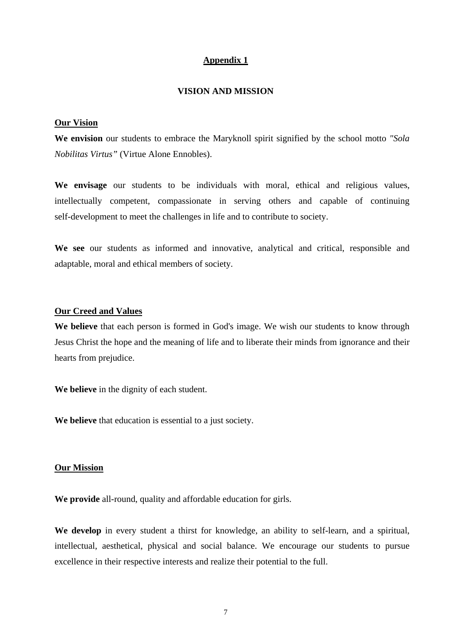## **Appendix 1**

#### **VISION AND MISSION**

#### **Our Vision**

**We envision** our students to embrace the Maryknoll spirit signified by the school motto *"Sola Nobilitas Virtus"* (Virtue Alone Ennobles).

**We envisage** our students to be individuals with moral, ethical and religious values, intellectually competent, compassionate in serving others and capable of continuing self-development to meet the challenges in life and to contribute to society.

**We see** our students as informed and innovative, analytical and critical, responsible and adaptable, moral and ethical members of society.

## **Our Creed and Values**

**We believe** that each person is formed in God's image. We wish our students to know through Jesus Christ the hope and the meaning of life and to liberate their minds from ignorance and their hearts from prejudice.

**We believe** in the dignity of each student.

**We believe** that education is essential to a just society.

#### **Our Mission**

**We provide** all-round, quality and affordable education for girls.

**We develop** in every student a thirst for knowledge, an ability to self-learn, and a spiritual, intellectual, aesthetical, physical and social balance. We encourage our students to pursue excellence in their respective interests and realize their potential to the full.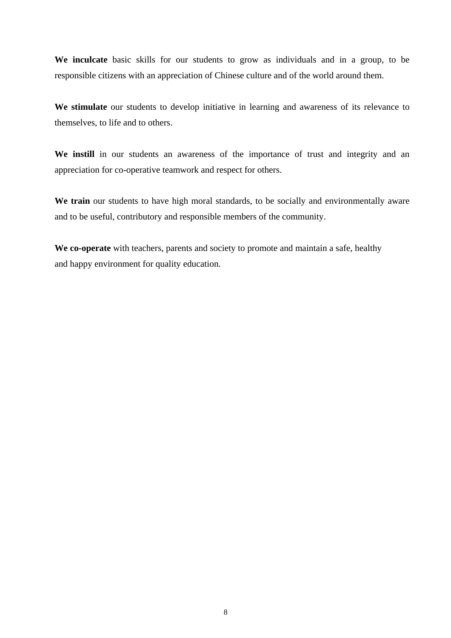**We inculcate** basic skills for our students to grow as individuals and in a group, to be responsible citizens with an appreciation of Chinese culture and of the world around them.

**We stimulate** our students to develop initiative in learning and awareness of its relevance to themselves, to life and to others.

We instill in our students an awareness of the importance of trust and integrity and an appreciation for co-operative teamwork and respect for others.

We train our students to have high moral standards, to be socially and environmentally aware and to be useful, contributory and responsible members of the community.

**We co-operate** with teachers, parents and society to promote and maintain a safe, healthy and happy environment for quality education.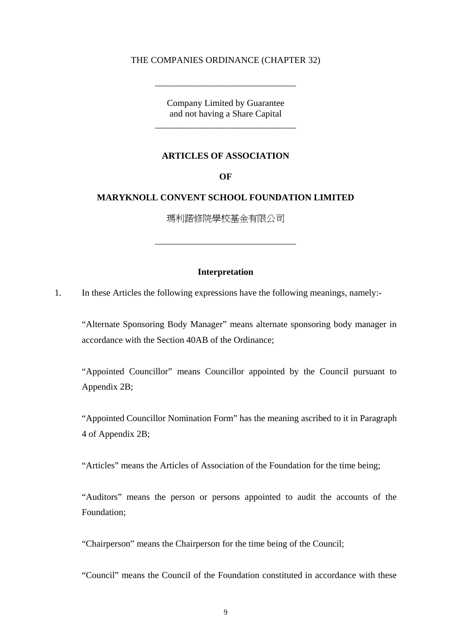### THE COMPANIES ORDINANCE (CHAPTER 32)

\_\_\_\_\_\_\_\_\_\_\_\_\_\_\_\_\_\_\_\_\_\_\_\_\_\_\_\_\_\_\_

Company Limited by Guarantee and not having a Share Capital \_\_\_\_\_\_\_\_\_\_\_\_\_\_\_\_\_\_\_\_\_\_\_\_\_\_\_\_\_\_\_

#### **ARTICLES OF ASSOCIATION**

**OF** 

# **MARYKNOLL CONVENT SCHOOL FOUNDATION LIMITED**

瑪利諾修院學校基金有限公司

\_\_\_\_\_\_\_\_\_\_\_\_\_\_\_\_\_\_\_\_\_\_\_\_\_\_\_\_\_\_\_

#### **Interpretation**

1. In these Articles the following expressions have the following meanings, namely:-

"Alternate Sponsoring Body Manager" means alternate sponsoring body manager in accordance with the Section 40AB of the Ordinance;

"Appointed Councillor" means Councillor appointed by the Council pursuant to Appendix 2B;

"Appointed Councillor Nomination Form" has the meaning ascribed to it in Paragraph 4 of Appendix 2B;

"Articles" means the Articles of Association of the Foundation for the time being;

"Auditors" means the person or persons appointed to audit the accounts of the Foundation;

"Chairperson" means the Chairperson for the time being of the Council;

"Council" means the Council of the Foundation constituted in accordance with these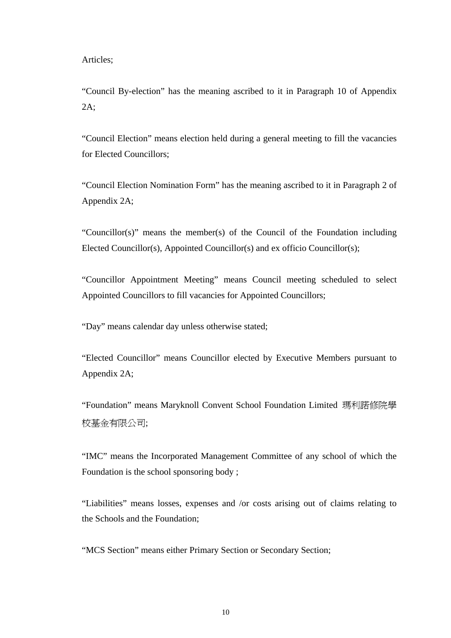Articles;

"Council By-election" has the meaning ascribed to it in Paragraph 10 of Appendix 2A;

"Council Election" means election held during a general meeting to fill the vacancies for Elected Councillors;

"Council Election Nomination Form" has the meaning ascribed to it in Paragraph 2 of Appendix 2A;

"Councillor(s)" means the member(s) of the Council of the Foundation including Elected Councillor(s), Appointed Councillor(s) and ex officio Councillor(s);

"Councillor Appointment Meeting" means Council meeting scheduled to select Appointed Councillors to fill vacancies for Appointed Councillors;

"Day" means calendar day unless otherwise stated;

"Elected Councillor" means Councillor elected by Executive Members pursuant to Appendix 2A;

"Foundation" means Maryknoll Convent School Foundation Limited 瑪利諾修院學 校基金有限公司;

"IMC" means the Incorporated Management Committee of any school of which the Foundation is the school sponsoring body ;

"Liabilities" means losses, expenses and /or costs arising out of claims relating to the Schools and the Foundation;

"MCS Section" means either Primary Section or Secondary Section;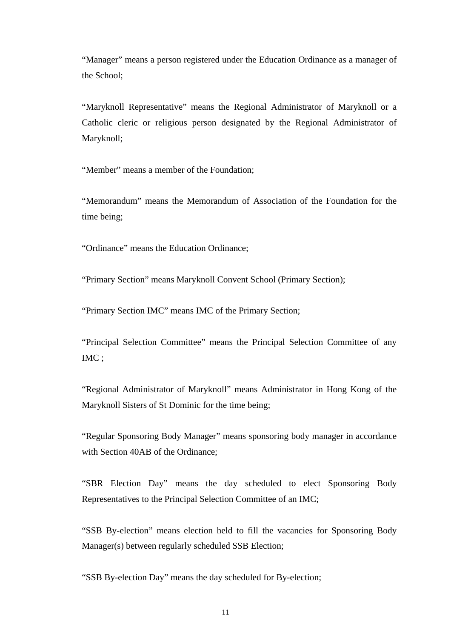"Manager" means a person registered under the Education Ordinance as a manager of the School;

"Maryknoll Representative" means the Regional Administrator of Maryknoll or a Catholic cleric or religious person designated by the Regional Administrator of Maryknoll;

"Member" means a member of the Foundation;

"Memorandum" means the Memorandum of Association of the Foundation for the time being;

"Ordinance" means the Education Ordinance;

"Primary Section" means Maryknoll Convent School (Primary Section);

"Primary Section IMC" means IMC of the Primary Section;

"Principal Selection Committee" means the Principal Selection Committee of any IMC ;

"Regional Administrator of Maryknoll" means Administrator in Hong Kong of the Maryknoll Sisters of St Dominic for the time being;

"Regular Sponsoring Body Manager" means sponsoring body manager in accordance with Section 40AB of the Ordinance;

"SBR Election Day" means the day scheduled to elect Sponsoring Body Representatives to the Principal Selection Committee of an IMC;

"SSB By-election" means election held to fill the vacancies for Sponsoring Body Manager(s) between regularly scheduled SSB Election;

"SSB By-election Day" means the day scheduled for By-election;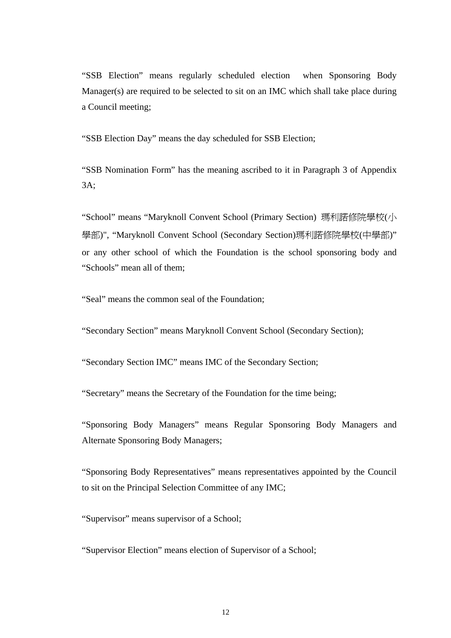"SSB Election" means regularly scheduled election when Sponsoring Body Manager(s) are required to be selected to sit on an IMC which shall take place during a Council meeting;

"SSB Election Day" means the day scheduled for SSB Election;

"SSB Nomination Form" has the meaning ascribed to it in Paragraph 3 of Appendix 3A;

"School" means "Maryknoll Convent School (Primary Section) 瑪利諾修院學校(小 學部)", "Maryknoll Convent School (Secondary Section)瑪利諾修院學校(中學部)" or any other school of which the Foundation is the school sponsoring body and "Schools" mean all of them;

"Seal" means the common seal of the Foundation;

"Secondary Section" means Maryknoll Convent School (Secondary Section);

"Secondary Section IMC" means IMC of the Secondary Section;

"Secretary" means the Secretary of the Foundation for the time being;

"Sponsoring Body Managers" means Regular Sponsoring Body Managers and Alternate Sponsoring Body Managers;

"Sponsoring Body Representatives" means representatives appointed by the Council to sit on the Principal Selection Committee of any IMC;

"Supervisor" means supervisor of a School;

"Supervisor Election" means election of Supervisor of a School;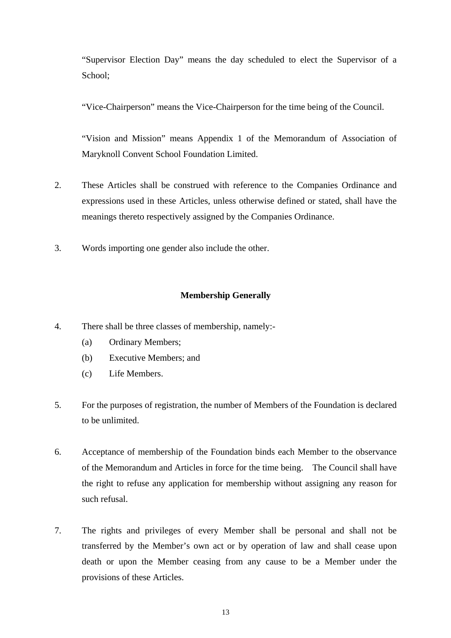"Supervisor Election Day" means the day scheduled to elect the Supervisor of a School;

"Vice-Chairperson" means the Vice-Chairperson for the time being of the Council.

"Vision and Mission" means Appendix 1 of the Memorandum of Association of Maryknoll Convent School Foundation Limited.

- 2. These Articles shall be construed with reference to the Companies Ordinance and expressions used in these Articles, unless otherwise defined or stated, shall have the meanings thereto respectively assigned by the Companies Ordinance.
- 3. Words importing one gender also include the other.

# **Membership Generally**

- 4. There shall be three classes of membership, namely:-
	- (a) Ordinary Members;
	- (b) Executive Members; and
	- (c) Life Members.
- 5. For the purposes of registration, the number of Members of the Foundation is declared to be unlimited.
- 6. Acceptance of membership of the Foundation binds each Member to the observance of the Memorandum and Articles in force for the time being. The Council shall have the right to refuse any application for membership without assigning any reason for such refusal.
- 7. The rights and privileges of every Member shall be personal and shall not be transferred by the Member's own act or by operation of law and shall cease upon death or upon the Member ceasing from any cause to be a Member under the provisions of these Articles.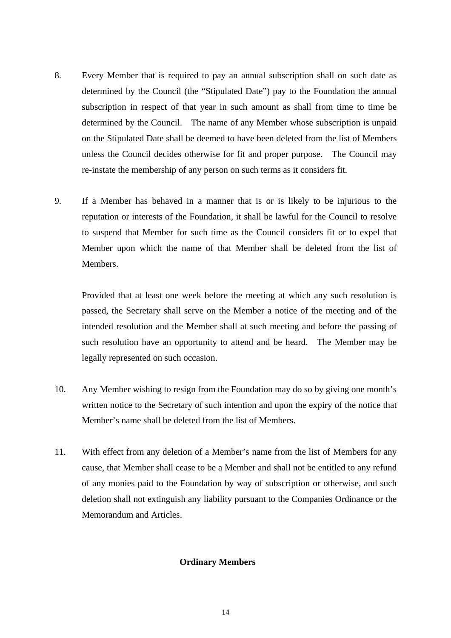- 8. Every Member that is required to pay an annual subscription shall on such date as determined by the Council (the "Stipulated Date") pay to the Foundation the annual subscription in respect of that year in such amount as shall from time to time be determined by the Council. The name of any Member whose subscription is unpaid on the Stipulated Date shall be deemed to have been deleted from the list of Members unless the Council decides otherwise for fit and proper purpose. The Council may re-instate the membership of any person on such terms as it considers fit.
- 9. If a Member has behaved in a manner that is or is likely to be injurious to the reputation or interests of the Foundation, it shall be lawful for the Council to resolve to suspend that Member for such time as the Council considers fit or to expel that Member upon which the name of that Member shall be deleted from the list of Members.

Provided that at least one week before the meeting at which any such resolution is passed, the Secretary shall serve on the Member a notice of the meeting and of the intended resolution and the Member shall at such meeting and before the passing of such resolution have an opportunity to attend and be heard. The Member may be legally represented on such occasion.

- 10. Any Member wishing to resign from the Foundation may do so by giving one month's written notice to the Secretary of such intention and upon the expiry of the notice that Member's name shall be deleted from the list of Members.
- 11. With effect from any deletion of a Member's name from the list of Members for any cause, that Member shall cease to be a Member and shall not be entitled to any refund of any monies paid to the Foundation by way of subscription or otherwise, and such deletion shall not extinguish any liability pursuant to the Companies Ordinance or the Memorandum and Articles.

## **Ordinary Members**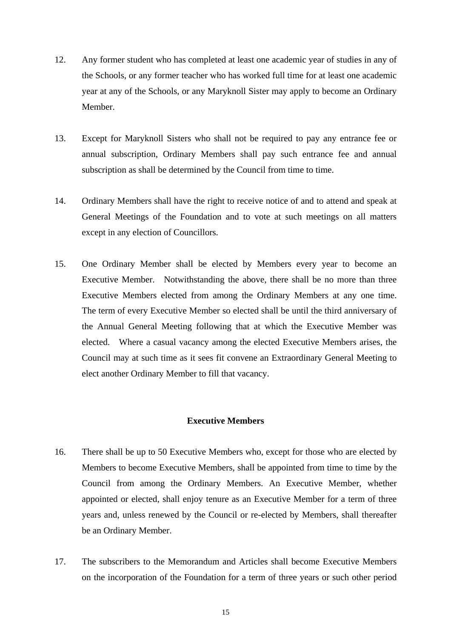- 12. Any former student who has completed at least one academic year of studies in any of the Schools, or any former teacher who has worked full time for at least one academic year at any of the Schools, or any Maryknoll Sister may apply to become an Ordinary Member.
- 13. Except for Maryknoll Sisters who shall not be required to pay any entrance fee or annual subscription, Ordinary Members shall pay such entrance fee and annual subscription as shall be determined by the Council from time to time.
- 14. Ordinary Members shall have the right to receive notice of and to attend and speak at General Meetings of the Foundation and to vote at such meetings on all matters except in any election of Councillors.
- 15. One Ordinary Member shall be elected by Members every year to become an Executive Member. Notwithstanding the above, there shall be no more than three Executive Members elected from among the Ordinary Members at any one time. The term of every Executive Member so elected shall be until the third anniversary of the Annual General Meeting following that at which the Executive Member was elected. Where a casual vacancy among the elected Executive Members arises, the Council may at such time as it sees fit convene an Extraordinary General Meeting to elect another Ordinary Member to fill that vacancy.

## **Executive Members**

- 16. There shall be up to 50 Executive Members who, except for those who are elected by Members to become Executive Members, shall be appointed from time to time by the Council from among the Ordinary Members. An Executive Member, whether appointed or elected, shall enjoy tenure as an Executive Member for a term of three years and, unless renewed by the Council or re-elected by Members, shall thereafter be an Ordinary Member.
- 17. The subscribers to the Memorandum and Articles shall become Executive Members on the incorporation of the Foundation for a term of three years or such other period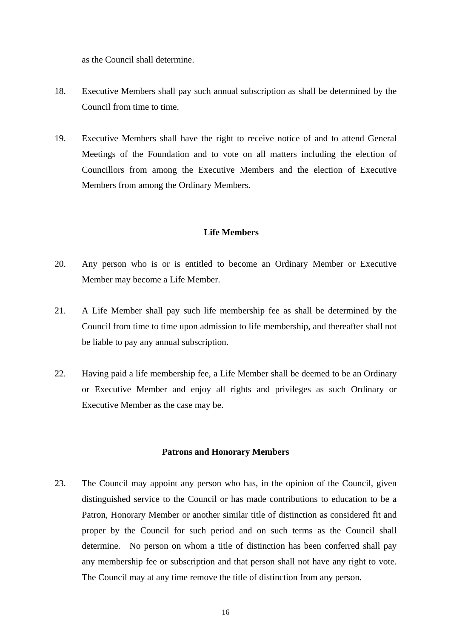as the Council shall determine.

- 18. Executive Members shall pay such annual subscription as shall be determined by the Council from time to time.
- 19. Executive Members shall have the right to receive notice of and to attend General Meetings of the Foundation and to vote on all matters including the election of Councillors from among the Executive Members and the election of Executive Members from among the Ordinary Members.

## **Life Members**

- 20. Any person who is or is entitled to become an Ordinary Member or Executive Member may become a Life Member.
- 21. A Life Member shall pay such life membership fee as shall be determined by the Council from time to time upon admission to life membership, and thereafter shall not be liable to pay any annual subscription.
- 22. Having paid a life membership fee, a Life Member shall be deemed to be an Ordinary or Executive Member and enjoy all rights and privileges as such Ordinary or Executive Member as the case may be.

## **Patrons and Honorary Members**

23. The Council may appoint any person who has, in the opinion of the Council, given distinguished service to the Council or has made contributions to education to be a Patron, Honorary Member or another similar title of distinction as considered fit and proper by the Council for such period and on such terms as the Council shall determine. No person on whom a title of distinction has been conferred shall pay any membership fee or subscription and that person shall not have any right to vote. The Council may at any time remove the title of distinction from any person.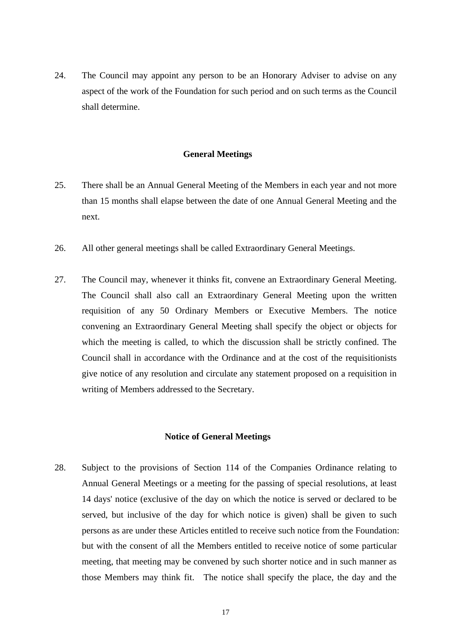24. The Council may appoint any person to be an Honorary Adviser to advise on any aspect of the work of the Foundation for such period and on such terms as the Council shall determine.

#### **General Meetings**

- 25. There shall be an Annual General Meeting of the Members in each year and not more than 15 months shall elapse between the date of one Annual General Meeting and the next.
- 26. All other general meetings shall be called Extraordinary General Meetings.
- 27. The Council may, whenever it thinks fit, convene an Extraordinary General Meeting. The Council shall also call an Extraordinary General Meeting upon the written requisition of any 50 Ordinary Members or Executive Members. The notice convening an Extraordinary General Meeting shall specify the object or objects for which the meeting is called, to which the discussion shall be strictly confined. The Council shall in accordance with the Ordinance and at the cost of the requisitionists give notice of any resolution and circulate any statement proposed on a requisition in writing of Members addressed to the Secretary.

#### **Notice of General Meetings**

28. Subject to the provisions of Section 114 of the Companies Ordinance relating to Annual General Meetings or a meeting for the passing of special resolutions, at least 14 days' notice (exclusive of the day on which the notice is served or declared to be served, but inclusive of the day for which notice is given) shall be given to such persons as are under these Articles entitled to receive such notice from the Foundation: but with the consent of all the Members entitled to receive notice of some particular meeting, that meeting may be convened by such shorter notice and in such manner as those Members may think fit. The notice shall specify the place, the day and the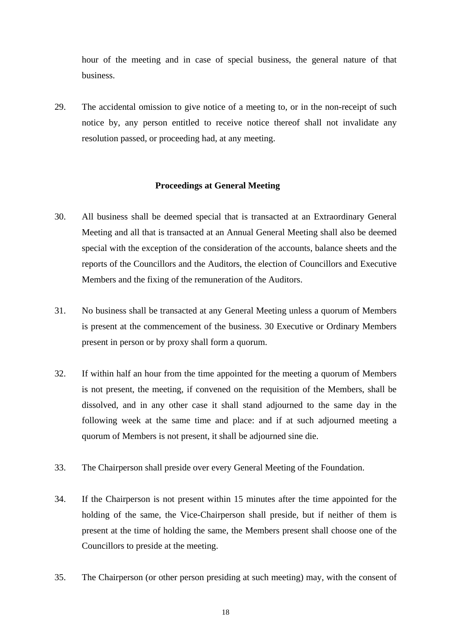hour of the meeting and in case of special business, the general nature of that business.

29. The accidental omission to give notice of a meeting to, or in the non-receipt of such notice by, any person entitled to receive notice thereof shall not invalidate any resolution passed, or proceeding had, at any meeting.

## **Proceedings at General Meeting**

- 30. All business shall be deemed special that is transacted at an Extraordinary General Meeting and all that is transacted at an Annual General Meeting shall also be deemed special with the exception of the consideration of the accounts, balance sheets and the reports of the Councillors and the Auditors, the election of Councillors and Executive Members and the fixing of the remuneration of the Auditors.
- 31. No business shall be transacted at any General Meeting unless a quorum of Members is present at the commencement of the business. 30 Executive or Ordinary Members present in person or by proxy shall form a quorum.
- 32. If within half an hour from the time appointed for the meeting a quorum of Members is not present, the meeting, if convened on the requisition of the Members, shall be dissolved, and in any other case it shall stand adjourned to the same day in the following week at the same time and place: and if at such adjourned meeting a quorum of Members is not present, it shall be adjourned sine die.
- 33. The Chairperson shall preside over every General Meeting of the Foundation.
- 34. If the Chairperson is not present within 15 minutes after the time appointed for the holding of the same, the Vice-Chairperson shall preside, but if neither of them is present at the time of holding the same, the Members present shall choose one of the Councillors to preside at the meeting.
- 35. The Chairperson (or other person presiding at such meeting) may, with the consent of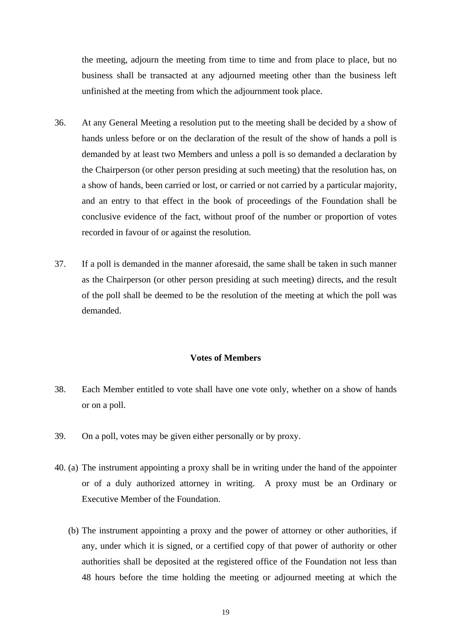the meeting, adjourn the meeting from time to time and from place to place, but no business shall be transacted at any adjourned meeting other than the business left unfinished at the meeting from which the adjournment took place.

- 36. At any General Meeting a resolution put to the meeting shall be decided by a show of hands unless before or on the declaration of the result of the show of hands a poll is demanded by at least two Members and unless a poll is so demanded a declaration by the Chairperson (or other person presiding at such meeting) that the resolution has, on a show of hands, been carried or lost, or carried or not carried by a particular majority, and an entry to that effect in the book of proceedings of the Foundation shall be conclusive evidence of the fact, without proof of the number or proportion of votes recorded in favour of or against the resolution.
- 37. If a poll is demanded in the manner aforesaid, the same shall be taken in such manner as the Chairperson (or other person presiding at such meeting) directs, and the result of the poll shall be deemed to be the resolution of the meeting at which the poll was demanded.

#### **Votes of Members**

- 38. Each Member entitled to vote shall have one vote only, whether on a show of hands or on a poll.
- 39. On a poll, votes may be given either personally or by proxy.
- 40. (a) The instrument appointing a proxy shall be in writing under the hand of the appointer or of a duly authorized attorney in writing. A proxy must be an Ordinary or Executive Member of the Foundation.
	- (b) The instrument appointing a proxy and the power of attorney or other authorities, if any, under which it is signed, or a certified copy of that power of authority or other authorities shall be deposited at the registered office of the Foundation not less than 48 hours before the time holding the meeting or adjourned meeting at which the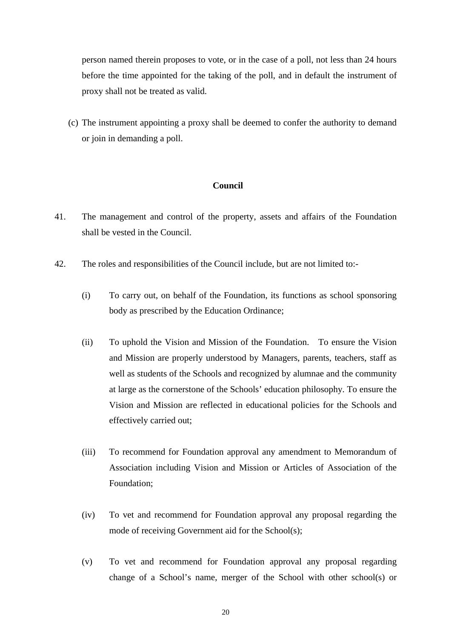person named therein proposes to vote, or in the case of a poll, not less than 24 hours before the time appointed for the taking of the poll, and in default the instrument of proxy shall not be treated as valid.

(c) The instrument appointing a proxy shall be deemed to confer the authority to demand or join in demanding a poll.

### **Council**

- 41. The management and control of the property, assets and affairs of the Foundation shall be vested in the Council.
- 42. The roles and responsibilities of the Council include, but are not limited to:-
	- (i) To carry out, on behalf of the Foundation, its functions as school sponsoring body as prescribed by the Education Ordinance;
	- (ii) To uphold the Vision and Mission of the Foundation. To ensure the Vision and Mission are properly understood by Managers, parents, teachers, staff as well as students of the Schools and recognized by alumnae and the community at large as the cornerstone of the Schools' education philosophy. To ensure the Vision and Mission are reflected in educational policies for the Schools and effectively carried out;
	- (iii) To recommend for Foundation approval any amendment to Memorandum of Association including Vision and Mission or Articles of Association of the Foundation;
	- (iv) To vet and recommend for Foundation approval any proposal regarding the mode of receiving Government aid for the School(s);
	- (v) To vet and recommend for Foundation approval any proposal regarding change of a School's name, merger of the School with other school(s) or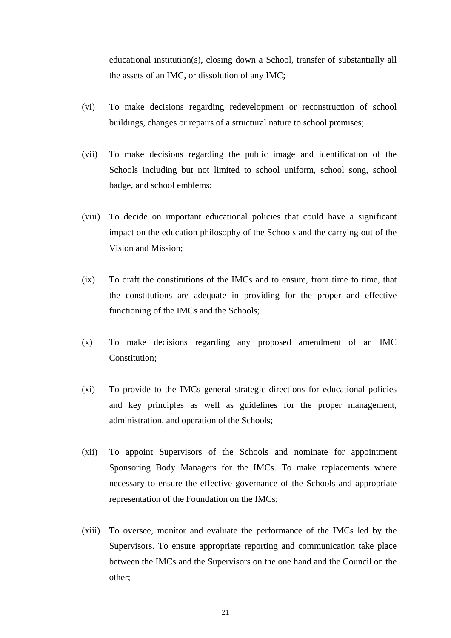educational institution(s), closing down a School, transfer of substantially all the assets of an IMC, or dissolution of any IMC;

- (vi) To make decisions regarding redevelopment or reconstruction of school buildings, changes or repairs of a structural nature to school premises;
- (vii) To make decisions regarding the public image and identification of the Schools including but not limited to school uniform, school song, school badge, and school emblems;
- (viii) To decide on important educational policies that could have a significant impact on the education philosophy of the Schools and the carrying out of the Vision and Mission;
- (ix) To draft the constitutions of the IMCs and to ensure, from time to time, that the constitutions are adequate in providing for the proper and effective functioning of the IMCs and the Schools;
- (x) To make decisions regarding any proposed amendment of an IMC Constitution;
- (xi) To provide to the IMCs general strategic directions for educational policies and key principles as well as guidelines for the proper management, administration, and operation of the Schools;
- (xii) To appoint Supervisors of the Schools and nominate for appointment Sponsoring Body Managers for the IMCs. To make replacements where necessary to ensure the effective governance of the Schools and appropriate representation of the Foundation on the IMCs;
- (xiii) To oversee, monitor and evaluate the performance of the IMCs led by the Supervisors. To ensure appropriate reporting and communication take place between the IMCs and the Supervisors on the one hand and the Council on the other;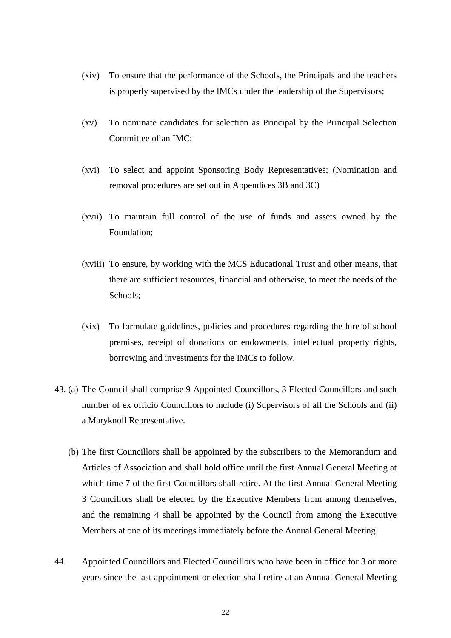- (xiv) To ensure that the performance of the Schools, the Principals and the teachers is properly supervised by the IMCs under the leadership of the Supervisors;
- (xv) To nominate candidates for selection as Principal by the Principal Selection Committee of an IMC;
- (xvi) To select and appoint Sponsoring Body Representatives; (Nomination and removal procedures are set out in Appendices 3B and 3C)
- (xvii) To maintain full control of the use of funds and assets owned by the Foundation;
- (xviii) To ensure, by working with the MCS Educational Trust and other means, that there are sufficient resources, financial and otherwise, to meet the needs of the Schools;
- (xix) To formulate guidelines, policies and procedures regarding the hire of school premises, receipt of donations or endowments, intellectual property rights, borrowing and investments for the IMCs to follow.
- 43. (a) The Council shall comprise 9 Appointed Councillors, 3 Elected Councillors and such number of ex officio Councillors to include (i) Supervisors of all the Schools and (ii) a Maryknoll Representative.
	- (b) The first Councillors shall be appointed by the subscribers to the Memorandum and Articles of Association and shall hold office until the first Annual General Meeting at which time 7 of the first Councillors shall retire. At the first Annual General Meeting 3 Councillors shall be elected by the Executive Members from among themselves, and the remaining 4 shall be appointed by the Council from among the Executive Members at one of its meetings immediately before the Annual General Meeting.
- 44. Appointed Councillors and Elected Councillors who have been in office for 3 or more years since the last appointment or election shall retire at an Annual General Meeting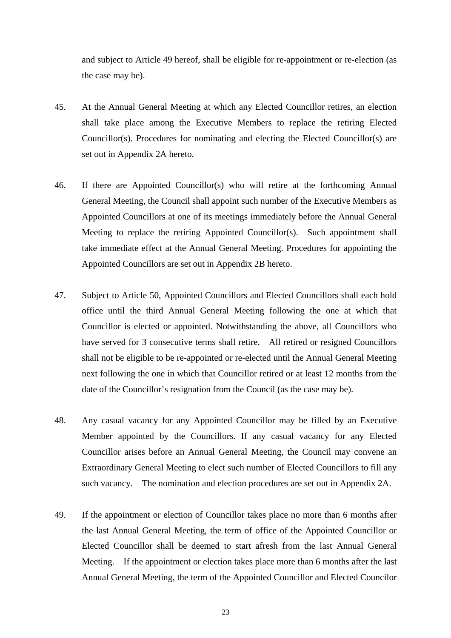and subject to Article 49 hereof, shall be eligible for re-appointment or re-election (as the case may be).

- 45. At the Annual General Meeting at which any Elected Councillor retires, an election shall take place among the Executive Members to replace the retiring Elected Councillor(s). Procedures for nominating and electing the Elected Councillor(s) are set out in Appendix 2A hereto.
- 46. If there are Appointed Councillor(s) who will retire at the forthcoming Annual General Meeting, the Council shall appoint such number of the Executive Members as Appointed Councillors at one of its meetings immediately before the Annual General Meeting to replace the retiring Appointed Councillor(s). Such appointment shall take immediate effect at the Annual General Meeting. Procedures for appointing the Appointed Councillors are set out in Appendix 2B hereto.
- 47. Subject to Article 50, Appointed Councillors and Elected Councillors shall each hold office until the third Annual General Meeting following the one at which that Councillor is elected or appointed. Notwithstanding the above, all Councillors who have served for 3 consecutive terms shall retire. All retired or resigned Councillors shall not be eligible to be re-appointed or re-elected until the Annual General Meeting next following the one in which that Councillor retired or at least 12 months from the date of the Councillor's resignation from the Council (as the case may be).
- 48. Any casual vacancy for any Appointed Councillor may be filled by an Executive Member appointed by the Councillors. If any casual vacancy for any Elected Councillor arises before an Annual General Meeting, the Council may convene an Extraordinary General Meeting to elect such number of Elected Councillors to fill any such vacancy. The nomination and election procedures are set out in Appendix 2A.
- 49. If the appointment or election of Councillor takes place no more than 6 months after the last Annual General Meeting, the term of office of the Appointed Councillor or Elected Councillor shall be deemed to start afresh from the last Annual General Meeting. If the appointment or election takes place more than 6 months after the last Annual General Meeting, the term of the Appointed Councillor and Elected Councilor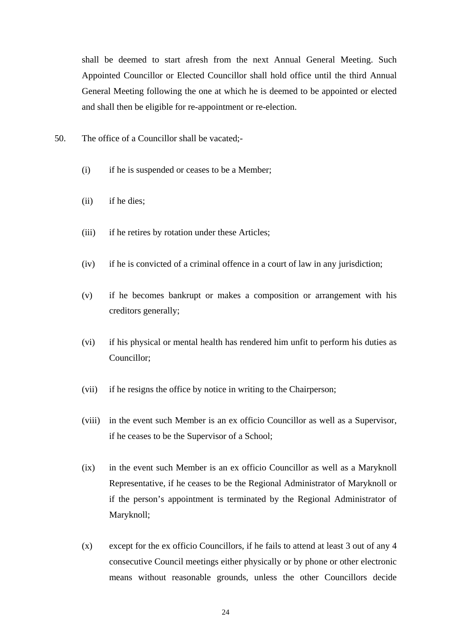shall be deemed to start afresh from the next Annual General Meeting. Such Appointed Councillor or Elected Councillor shall hold office until the third Annual General Meeting following the one at which he is deemed to be appointed or elected and shall then be eligible for re-appointment or re-election.

- 50. The office of a Councillor shall be vacated;-
	- (i) if he is suspended or ceases to be a Member;
	- (ii) if he dies;
	- (iii) if he retires by rotation under these Articles;
	- (iv) if he is convicted of a criminal offence in a court of law in any jurisdiction;
	- (v) if he becomes bankrupt or makes a composition or arrangement with his creditors generally;
	- (vi) if his physical or mental health has rendered him unfit to perform his duties as Councillor;
	- (vii) if he resigns the office by notice in writing to the Chairperson;
	- (viii) in the event such Member is an ex officio Councillor as well as a Supervisor, if he ceases to be the Supervisor of a School;
	- (ix) in the event such Member is an ex officio Councillor as well as a Maryknoll Representative, if he ceases to be the Regional Administrator of Maryknoll or if the person's appointment is terminated by the Regional Administrator of Maryknoll;
	- (x) except for the ex officio Councillors, if he fails to attend at least 3 out of any 4 consecutive Council meetings either physically or by phone or other electronic means without reasonable grounds, unless the other Councillors decide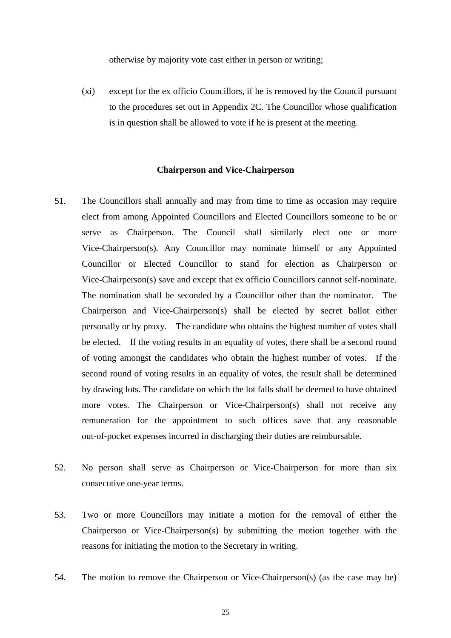otherwise by majority vote cast either in person or writing;

(xi) except for the ex officio Councillors, if he is removed by the Council pursuant to the procedures set out in Appendix 2C. The Councillor whose qualification is in question shall be allowed to vote if he is present at the meeting.

#### **Chairperson and Vice-Chairperson**

- 51. The Councillors shall annually and may from time to time as occasion may require elect from among Appointed Councillors and Elected Councillors someone to be or serve as Chairperson. The Council shall similarly elect one or more Vice-Chairperson(s). Any Councillor may nominate himself or any Appointed Councillor or Elected Councillor to stand for election as Chairperson or Vice-Chairperson(s) save and except that ex officio Councillors cannot self-nominate. The nomination shall be seconded by a Councillor other than the nominator. The Chairperson and Vice-Chairperson(s) shall be elected by secret ballot either personally or by proxy. The candidate who obtains the highest number of votes shall be elected. If the voting results in an equality of votes, there shall be a second round of voting amongst the candidates who obtain the highest number of votes. If the second round of voting results in an equality of votes, the result shall be determined by drawing lots. The candidate on which the lot falls shall be deemed to have obtained more votes. The Chairperson or Vice-Chairperson(s) shall not receive any remuneration for the appointment to such offices save that any reasonable out-of-pocket expenses incurred in discharging their duties are reimbursable.
- 52. No person shall serve as Chairperson or Vice-Chairperson for more than six consecutive one-year terms.
- 53. Two or more Councillors may initiate a motion for the removal of either the Chairperson or Vice-Chairperson(s) by submitting the motion together with the reasons for initiating the motion to the Secretary in writing.
- 54. The motion to remove the Chairperson or Vice-Chairperson(s) (as the case may be)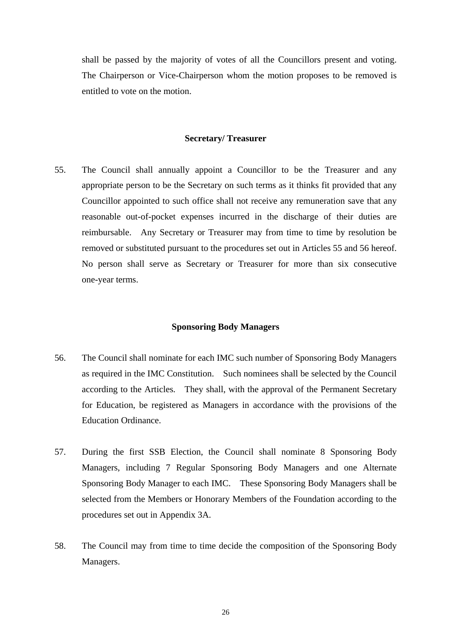shall be passed by the majority of votes of all the Councillors present and voting. The Chairperson or Vice-Chairperson whom the motion proposes to be removed is entitled to vote on the motion.

#### **Secretary/ Treasurer**

55. The Council shall annually appoint a Councillor to be the Treasurer and any appropriate person to be the Secretary on such terms as it thinks fit provided that any Councillor appointed to such office shall not receive any remuneration save that any reasonable out-of-pocket expenses incurred in the discharge of their duties are reimbursable. Any Secretary or Treasurer may from time to time by resolution be removed or substituted pursuant to the procedures set out in Articles 55 and 56 hereof. No person shall serve as Secretary or Treasurer for more than six consecutive one-year terms.

### **Sponsoring Body Managers**

- 56. The Council shall nominate for each IMC such number of Sponsoring Body Managers as required in the IMC Constitution. Such nominees shall be selected by the Council according to the Articles. They shall, with the approval of the Permanent Secretary for Education, be registered as Managers in accordance with the provisions of the Education Ordinance.
- 57. During the first SSB Election, the Council shall nominate 8 Sponsoring Body Managers, including 7 Regular Sponsoring Body Managers and one Alternate Sponsoring Body Manager to each IMC. These Sponsoring Body Managers shall be selected from the Members or Honorary Members of the Foundation according to the procedures set out in Appendix 3A.
- 58. The Council may from time to time decide the composition of the Sponsoring Body Managers.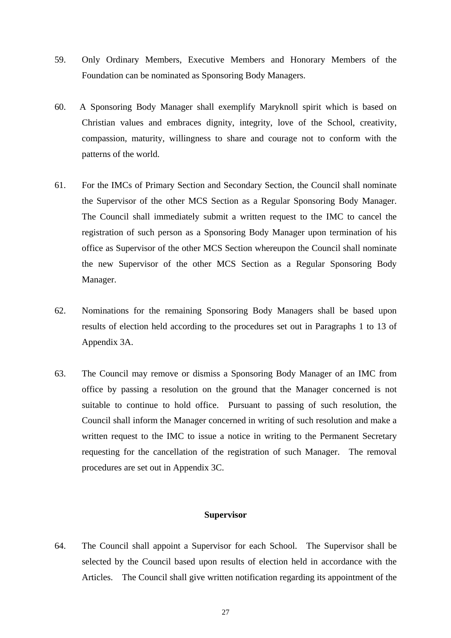- 59. Only Ordinary Members, Executive Members and Honorary Members of the Foundation can be nominated as Sponsoring Body Managers.
- 60. A Sponsoring Body Manager shall exemplify Maryknoll spirit which is based on Christian values and embraces dignity, integrity, love of the School, creativity, compassion, maturity, willingness to share and courage not to conform with the patterns of the world.
- 61. For the IMCs of Primary Section and Secondary Section, the Council shall nominate the Supervisor of the other MCS Section as a Regular Sponsoring Body Manager. The Council shall immediately submit a written request to the IMC to cancel the registration of such person as a Sponsoring Body Manager upon termination of his office as Supervisor of the other MCS Section whereupon the Council shall nominate the new Supervisor of the other MCS Section as a Regular Sponsoring Body Manager.
- 62. Nominations for the remaining Sponsoring Body Managers shall be based upon results of election held according to the procedures set out in Paragraphs 1 to 13 of Appendix 3A.
- 63. The Council may remove or dismiss a Sponsoring Body Manager of an IMC from office by passing a resolution on the ground that the Manager concerned is not suitable to continue to hold office. Pursuant to passing of such resolution, the Council shall inform the Manager concerned in writing of such resolution and make a written request to the IMC to issue a notice in writing to the Permanent Secretary requesting for the cancellation of the registration of such Manager. The removal procedures are set out in Appendix 3C.

#### **Supervisor**

64. The Council shall appoint a Supervisor for each School. The Supervisor shall be selected by the Council based upon results of election held in accordance with the Articles. The Council shall give written notification regarding its appointment of the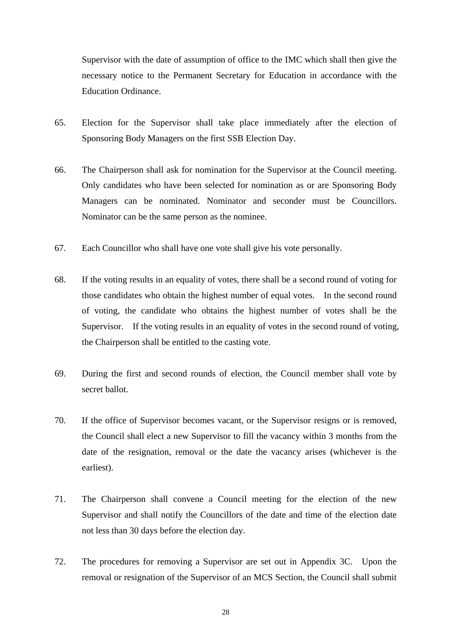Supervisor with the date of assumption of office to the IMC which shall then give the necessary notice to the Permanent Secretary for Education in accordance with the Education Ordinance.

- 65. Election for the Supervisor shall take place immediately after the election of Sponsoring Body Managers on the first SSB Election Day.
- 66. The Chairperson shall ask for nomination for the Supervisor at the Council meeting. Only candidates who have been selected for nomination as or are Sponsoring Body Managers can be nominated. Nominator and seconder must be Councillors. Nominator can be the same person as the nominee.
- 67. Each Councillor who shall have one vote shall give his vote personally.
- 68. If the voting results in an equality of votes, there shall be a second round of voting for those candidates who obtain the highest number of equal votes. In the second round of voting, the candidate who obtains the highest number of votes shall be the Supervisor. If the voting results in an equality of votes in the second round of voting, the Chairperson shall be entitled to the casting vote.
- 69. During the first and second rounds of election, the Council member shall vote by secret ballot.
- 70. If the office of Supervisor becomes vacant, or the Supervisor resigns or is removed, the Council shall elect a new Supervisor to fill the vacancy within 3 months from the date of the resignation, removal or the date the vacancy arises (whichever is the earliest).
- 71. The Chairperson shall convene a Council meeting for the election of the new Supervisor and shall notify the Councillors of the date and time of the election date not less than 30 days before the election day.
- 72. The procedures for removing a Supervisor are set out in Appendix 3C. Upon the removal or resignation of the Supervisor of an MCS Section, the Council shall submit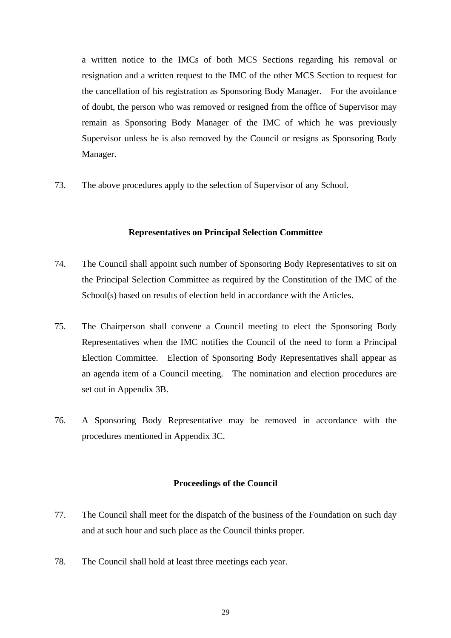a written notice to the IMCs of both MCS Sections regarding his removal or resignation and a written request to the IMC of the other MCS Section to request for the cancellation of his registration as Sponsoring Body Manager. For the avoidance of doubt, the person who was removed or resigned from the office of Supervisor may remain as Sponsoring Body Manager of the IMC of which he was previously Supervisor unless he is also removed by the Council or resigns as Sponsoring Body Manager.

73. The above procedures apply to the selection of Supervisor of any School.

### **Representatives on Principal Selection Committee**

- 74. The Council shall appoint such number of Sponsoring Body Representatives to sit on the Principal Selection Committee as required by the Constitution of the IMC of the School(s) based on results of election held in accordance with the Articles.
- 75. The Chairperson shall convene a Council meeting to elect the Sponsoring Body Representatives when the IMC notifies the Council of the need to form a Principal Election Committee. Election of Sponsoring Body Representatives shall appear as an agenda item of a Council meeting. The nomination and election procedures are set out in Appendix 3B.
- 76. A Sponsoring Body Representative may be removed in accordance with the procedures mentioned in Appendix 3C.

#### **Proceedings of the Council**

- 77. The Council shall meet for the dispatch of the business of the Foundation on such day and at such hour and such place as the Council thinks proper.
- 78. The Council shall hold at least three meetings each year.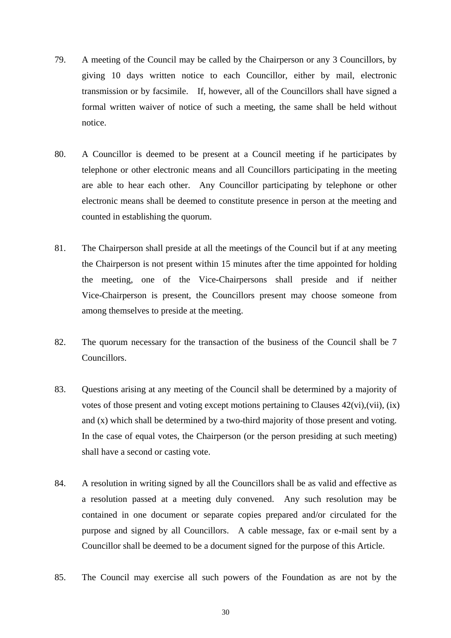- 79. A meeting of the Council may be called by the Chairperson or any 3 Councillors, by giving 10 days written notice to each Councillor, either by mail, electronic transmission or by facsimile. If, however, all of the Councillors shall have signed a formal written waiver of notice of such a meeting, the same shall be held without notice.
- 80. A Councillor is deemed to be present at a Council meeting if he participates by telephone or other electronic means and all Councillors participating in the meeting are able to hear each other. Any Councillor participating by telephone or other electronic means shall be deemed to constitute presence in person at the meeting and counted in establishing the quorum.
- 81. The Chairperson shall preside at all the meetings of the Council but if at any meeting the Chairperson is not present within 15 minutes after the time appointed for holding the meeting, one of the Vice-Chairpersons shall preside and if neither Vice-Chairperson is present, the Councillors present may choose someone from among themselves to preside at the meeting.
- 82. The quorum necessary for the transaction of the business of the Council shall be 7 Councillors.
- 83. Questions arising at any meeting of the Council shall be determined by a majority of votes of those present and voting except motions pertaining to Clauses 42(vi),(vii), (ix) and (x) which shall be determined by a two-third majority of those present and voting. In the case of equal votes, the Chairperson (or the person presiding at such meeting) shall have a second or casting vote.
- 84. A resolution in writing signed by all the Councillors shall be as valid and effective as a resolution passed at a meeting duly convened. Any such resolution may be contained in one document or separate copies prepared and/or circulated for the purpose and signed by all Councillors. A cable message, fax or e-mail sent by a Councillor shall be deemed to be a document signed for the purpose of this Article.
- 85. The Council may exercise all such powers of the Foundation as are not by the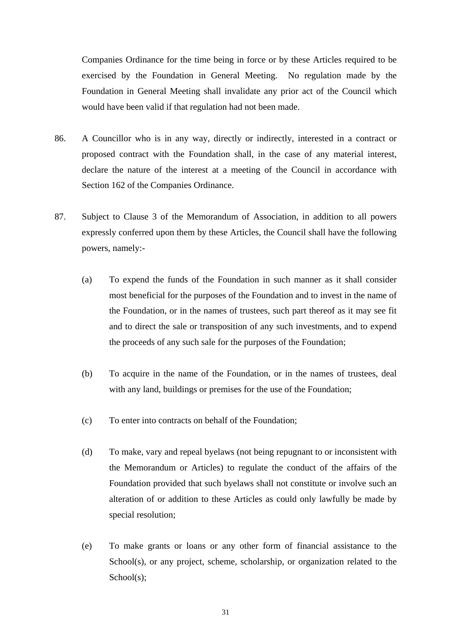Companies Ordinance for the time being in force or by these Articles required to be exercised by the Foundation in General Meeting. No regulation made by the Foundation in General Meeting shall invalidate any prior act of the Council which would have been valid if that regulation had not been made.

- 86. A Councillor who is in any way, directly or indirectly, interested in a contract or proposed contract with the Foundation shall, in the case of any material interest, declare the nature of the interest at a meeting of the Council in accordance with Section 162 of the Companies Ordinance.
- 87. Subject to Clause 3 of the Memorandum of Association, in addition to all powers expressly conferred upon them by these Articles, the Council shall have the following powers, namely:-
	- (a) To expend the funds of the Foundation in such manner as it shall consider most beneficial for the purposes of the Foundation and to invest in the name of the Foundation, or in the names of trustees, such part thereof as it may see fit and to direct the sale or transposition of any such investments, and to expend the proceeds of any such sale for the purposes of the Foundation;
	- (b) To acquire in the name of the Foundation, or in the names of trustees, deal with any land, buildings or premises for the use of the Foundation;
	- (c) To enter into contracts on behalf of the Foundation;
	- (d) To make, vary and repeal byelaws (not being repugnant to or inconsistent with the Memorandum or Articles) to regulate the conduct of the affairs of the Foundation provided that such byelaws shall not constitute or involve such an alteration of or addition to these Articles as could only lawfully be made by special resolution;
	- (e) To make grants or loans or any other form of financial assistance to the School(s), or any project, scheme, scholarship, or organization related to the School(s);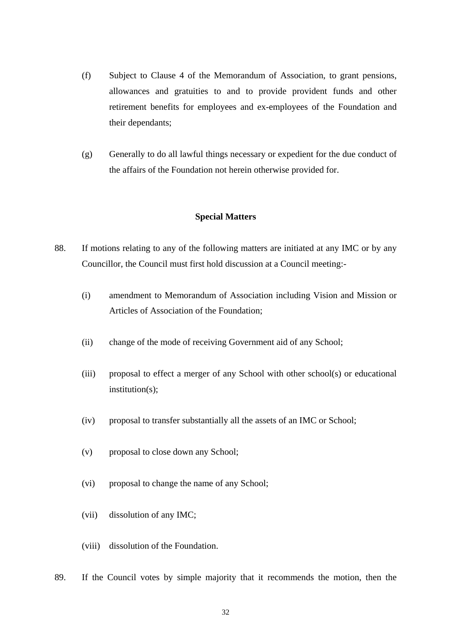- (f) Subject to Clause 4 of the Memorandum of Association, to grant pensions, allowances and gratuities to and to provide provident funds and other retirement benefits for employees and ex-employees of the Foundation and their dependants;
- (g) Generally to do all lawful things necessary or expedient for the due conduct of the affairs of the Foundation not herein otherwise provided for.

### **Special Matters**

- 88. If motions relating to any of the following matters are initiated at any IMC or by any Councillor, the Council must first hold discussion at a Council meeting:-
	- (i) amendment to Memorandum of Association including Vision and Mission or Articles of Association of the Foundation;
	- (ii) change of the mode of receiving Government aid of any School;
	- (iii) proposal to effect a merger of any School with other school(s) or educational institution(s):
	- (iv) proposal to transfer substantially all the assets of an IMC or School;
	- (v) proposal to close down any School;
	- (vi) proposal to change the name of any School;
	- (vii) dissolution of any IMC;
	- (viii) dissolution of the Foundation.
- 89. If the Council votes by simple majority that it recommends the motion, then the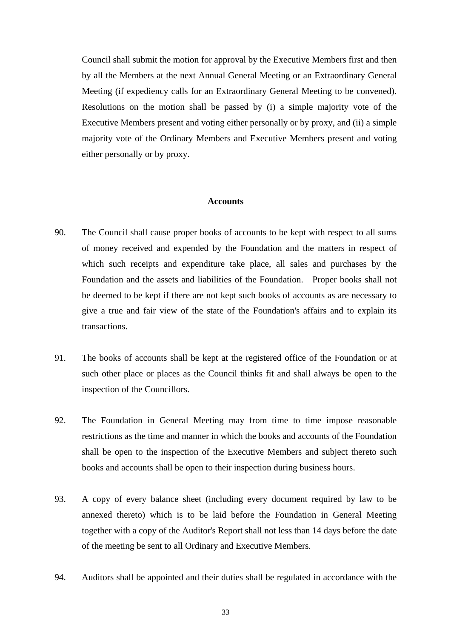Council shall submit the motion for approval by the Executive Members first and then by all the Members at the next Annual General Meeting or an Extraordinary General Meeting (if expediency calls for an Extraordinary General Meeting to be convened). Resolutions on the motion shall be passed by (i) a simple majority vote of the Executive Members present and voting either personally or by proxy, and (ii) a simple majority vote of the Ordinary Members and Executive Members present and voting either personally or by proxy.

#### **Accounts**

- 90. The Council shall cause proper books of accounts to be kept with respect to all sums of money received and expended by the Foundation and the matters in respect of which such receipts and expenditure take place, all sales and purchases by the Foundation and the assets and liabilities of the Foundation. Proper books shall not be deemed to be kept if there are not kept such books of accounts as are necessary to give a true and fair view of the state of the Foundation's affairs and to explain its transactions.
- 91. The books of accounts shall be kept at the registered office of the Foundation or at such other place or places as the Council thinks fit and shall always be open to the inspection of the Councillors.
- 92. The Foundation in General Meeting may from time to time impose reasonable restrictions as the time and manner in which the books and accounts of the Foundation shall be open to the inspection of the Executive Members and subject thereto such books and accounts shall be open to their inspection during business hours.
- 93. A copy of every balance sheet (including every document required by law to be annexed thereto) which is to be laid before the Foundation in General Meeting together with a copy of the Auditor's Report shall not less than 14 days before the date of the meeting be sent to all Ordinary and Executive Members.
- 94. Auditors shall be appointed and their duties shall be regulated in accordance with the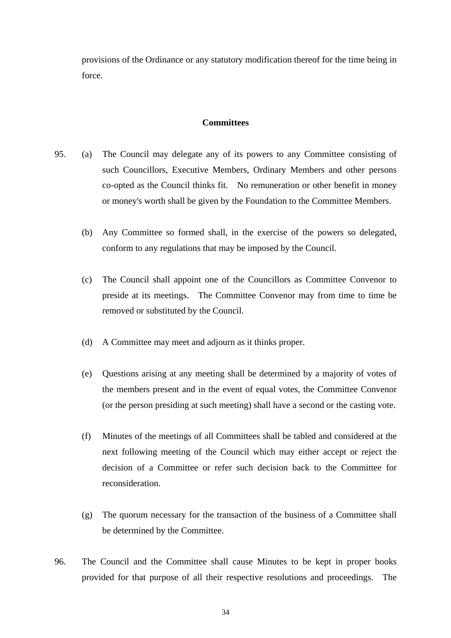provisions of the Ordinance or any statutory modification thereof for the time being in force.

## **Committees**

- 95. (a) The Council may delegate any of its powers to any Committee consisting of such Councillors, Executive Members, Ordinary Members and other persons co-opted as the Council thinks fit. No remuneration or other benefit in money or money's worth shall be given by the Foundation to the Committee Members.
	- (b) Any Committee so formed shall, in the exercise of the powers so delegated, conform to any regulations that may be imposed by the Council.
	- (c) The Council shall appoint one of the Councillors as Committee Convenor to preside at its meetings. The Committee Convenor may from time to time be removed or substituted by the Council.
	- (d) A Committee may meet and adjourn as it thinks proper.
	- (e) Questions arising at any meeting shall be determined by a majority of votes of the members present and in the event of equal votes, the Committee Convenor (or the person presiding at such meeting) shall have a second or the casting vote.
	- (f) Minutes of the meetings of all Committees shall be tabled and considered at the next following meeting of the Council which may either accept or reject the decision of a Committee or refer such decision back to the Committee for reconsideration.
	- (g) The quorum necessary for the transaction of the business of a Committee shall be determined by the Committee.
- 96. The Council and the Committee shall cause Minutes to be kept in proper books provided for that purpose of all their respective resolutions and proceedings. The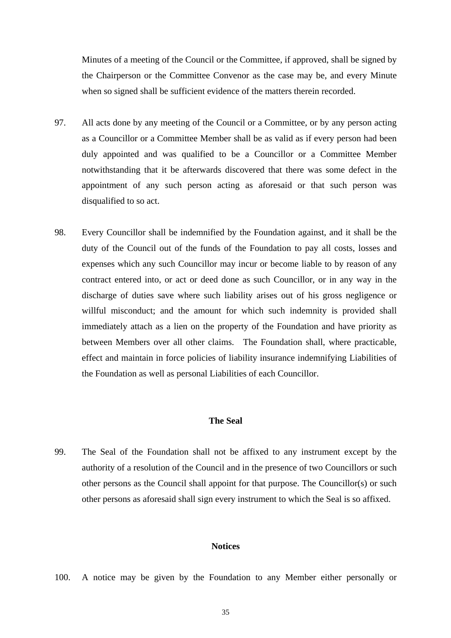Minutes of a meeting of the Council or the Committee, if approved, shall be signed by the Chairperson or the Committee Convenor as the case may be, and every Minute when so signed shall be sufficient evidence of the matters therein recorded.

- 97. All acts done by any meeting of the Council or a Committee, or by any person acting as a Councillor or a Committee Member shall be as valid as if every person had been duly appointed and was qualified to be a Councillor or a Committee Member notwithstanding that it be afterwards discovered that there was some defect in the appointment of any such person acting as aforesaid or that such person was disqualified to so act.
- 98. Every Councillor shall be indemnified by the Foundation against, and it shall be the duty of the Council out of the funds of the Foundation to pay all costs, losses and expenses which any such Councillor may incur or become liable to by reason of any contract entered into, or act or deed done as such Councillor, or in any way in the discharge of duties save where such liability arises out of his gross negligence or willful misconduct; and the amount for which such indemnity is provided shall immediately attach as a lien on the property of the Foundation and have priority as between Members over all other claims. The Foundation shall, where practicable, effect and maintain in force policies of liability insurance indemnifying Liabilities of the Foundation as well as personal Liabilities of each Councillor.

## **The Seal**

99. The Seal of the Foundation shall not be affixed to any instrument except by the authority of a resolution of the Council and in the presence of two Councillors or such other persons as the Council shall appoint for that purpose. The Councillor(s) or such other persons as aforesaid shall sign every instrument to which the Seal is so affixed.

#### **Notices**

100. A notice may be given by the Foundation to any Member either personally or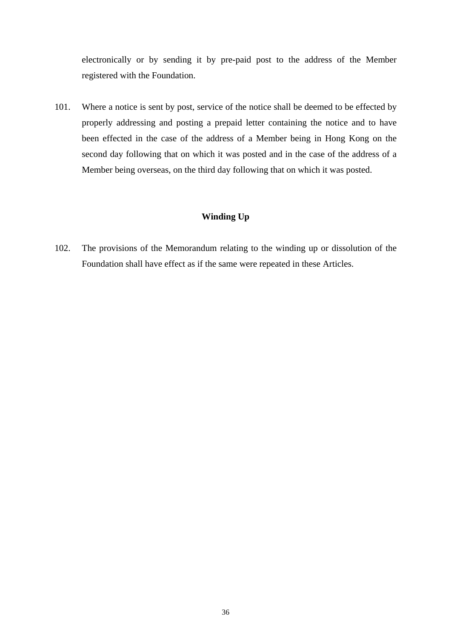electronically or by sending it by pre-paid post to the address of the Member registered with the Foundation.

101. Where a notice is sent by post, service of the notice shall be deemed to be effected by properly addressing and posting a prepaid letter containing the notice and to have been effected in the case of the address of a Member being in Hong Kong on the second day following that on which it was posted and in the case of the address of a Member being overseas, on the third day following that on which it was posted.

# **Winding Up**

102. The provisions of the Memorandum relating to the winding up or dissolution of the Foundation shall have effect as if the same were repeated in these Articles.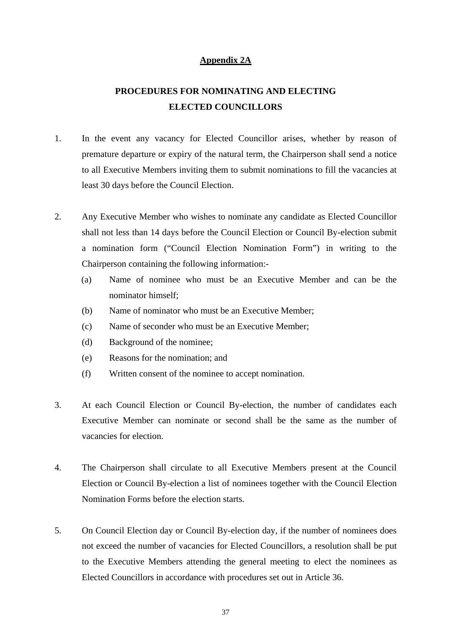## **Appendix 2A**

# **PROCEDURES FOR NOMINATING AND ELECTING ELECTED COUNCILLORS**

- 1. In the event any vacancy for Elected Councillor arises, whether by reason of premature departure or expiry of the natural term, the Chairperson shall send a notice to all Executive Members inviting them to submit nominations to fill the vacancies at least 30 days before the Council Election.
- 2. Any Executive Member who wishes to nominate any candidate as Elected Councillor shall not less than 14 days before the Council Election or Council By-election submit a nomination form ("Council Election Nomination Form") in writing to the Chairperson containing the following information:-
	- (a) Name of nominee who must be an Executive Member and can be the nominator himself;
	- (b) Name of nominator who must be an Executive Member;
	- (c) Name of seconder who must be an Executive Member;
	- (d) Background of the nominee;
	- (e) Reasons for the nomination; and
	- (f) Written consent of the nominee to accept nomination.
- 3. At each Council Election or Council By-election, the number of candidates each Executive Member can nominate or second shall be the same as the number of vacancies for election.
- 4. The Chairperson shall circulate to all Executive Members present at the Council Election or Council By-election a list of nominees together with the Council Election Nomination Forms before the election starts.
- 5. On Council Election day or Council By-election day, if the number of nominees does not exceed the number of vacancies for Elected Councillors, a resolution shall be put to the Executive Members attending the general meeting to elect the nominees as Elected Councillors in accordance with procedures set out in Article 36.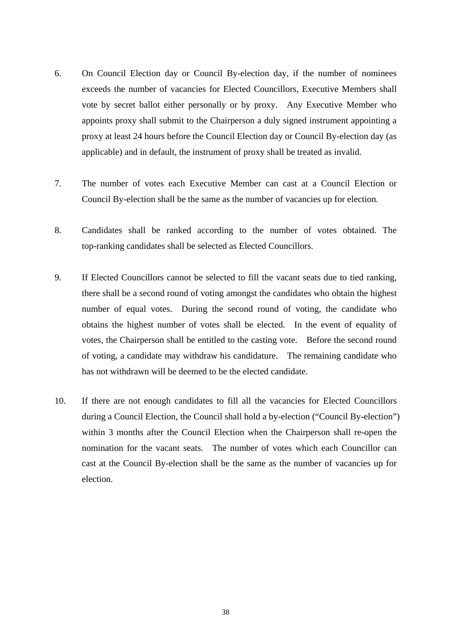- 6. On Council Election day or Council By-election day, if the number of nominees exceeds the number of vacancies for Elected Councillors, Executive Members shall vote by secret ballot either personally or by proxy. Any Executive Member who appoints proxy shall submit to the Chairperson a duly signed instrument appointing a proxy at least 24 hours before the Council Election day or Council By-election day (as applicable) and in default, the instrument of proxy shall be treated as invalid.
- 7. The number of votes each Executive Member can cast at a Council Election or Council By-election shall be the same as the number of vacancies up for election.
- 8. Candidates shall be ranked according to the number of votes obtained. The top-ranking candidates shall be selected as Elected Councillors.
- 9. If Elected Councillors cannot be selected to fill the vacant seats due to tied ranking, there shall be a second round of voting amongst the candidates who obtain the highest number of equal votes. During the second round of voting, the candidate who obtains the highest number of votes shall be elected. In the event of equality of votes, the Chairperson shall be entitled to the casting vote. Before the second round of voting, a candidate may withdraw his candidature. The remaining candidate who has not withdrawn will be deemed to be the elected candidate.
- 10. If there are not enough candidates to fill all the vacancies for Elected Councillors during a Council Election, the Council shall hold a by-election ("Council By-election") within 3 months after the Council Election when the Chairperson shall re-open the nomination for the vacant seats. The number of votes which each Councillor can cast at the Council By-election shall be the same as the number of vacancies up for election.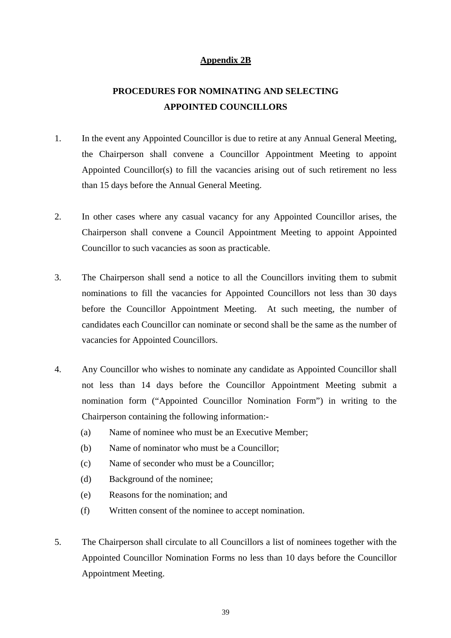# **Appendix 2B**

# **PROCEDURES FOR NOMINATING AND SELECTING APPOINTED COUNCILLORS**

- 1. In the event any Appointed Councillor is due to retire at any Annual General Meeting, the Chairperson shall convene a Councillor Appointment Meeting to appoint Appointed Councillor(s) to fill the vacancies arising out of such retirement no less than 15 days before the Annual General Meeting.
- 2. In other cases where any casual vacancy for any Appointed Councillor arises, the Chairperson shall convene a Council Appointment Meeting to appoint Appointed Councillor to such vacancies as soon as practicable.
- 3. The Chairperson shall send a notice to all the Councillors inviting them to submit nominations to fill the vacancies for Appointed Councillors not less than 30 days before the Councillor Appointment Meeting. At such meeting, the number of candidates each Councillor can nominate or second shall be the same as the number of vacancies for Appointed Councillors.
- 4. Any Councillor who wishes to nominate any candidate as Appointed Councillor shall not less than 14 days before the Councillor Appointment Meeting submit a nomination form ("Appointed Councillor Nomination Form") in writing to the Chairperson containing the following information:-
	- (a) Name of nominee who must be an Executive Member;
	- (b) Name of nominator who must be a Councillor;
	- (c) Name of seconder who must be a Councillor;
	- (d) Background of the nominee;
	- (e) Reasons for the nomination; and
	- (f) Written consent of the nominee to accept nomination.
- 5. The Chairperson shall circulate to all Councillors a list of nominees together with the Appointed Councillor Nomination Forms no less than 10 days before the Councillor Appointment Meeting.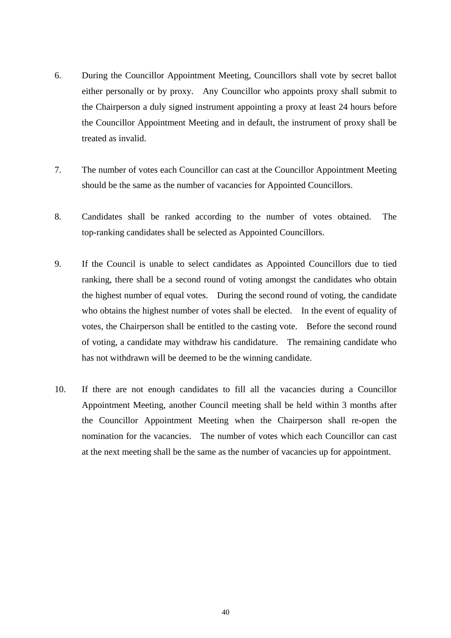- 6. During the Councillor Appointment Meeting, Councillors shall vote by secret ballot either personally or by proxy. Any Councillor who appoints proxy shall submit to the Chairperson a duly signed instrument appointing a proxy at least 24 hours before the Councillor Appointment Meeting and in default, the instrument of proxy shall be treated as invalid.
- 7. The number of votes each Councillor can cast at the Councillor Appointment Meeting should be the same as the number of vacancies for Appointed Councillors.
- 8. Candidates shall be ranked according to the number of votes obtained. The top-ranking candidates shall be selected as Appointed Councillors.
- 9. If the Council is unable to select candidates as Appointed Councillors due to tied ranking, there shall be a second round of voting amongst the candidates who obtain the highest number of equal votes. During the second round of voting, the candidate who obtains the highest number of votes shall be elected. In the event of equality of votes, the Chairperson shall be entitled to the casting vote. Before the second round of voting, a candidate may withdraw his candidature. The remaining candidate who has not withdrawn will be deemed to be the winning candidate.
- 10. If there are not enough candidates to fill all the vacancies during a Councillor Appointment Meeting, another Council meeting shall be held within 3 months after the Councillor Appointment Meeting when the Chairperson shall re-open the nomination for the vacancies. The number of votes which each Councillor can cast at the next meeting shall be the same as the number of vacancies up for appointment.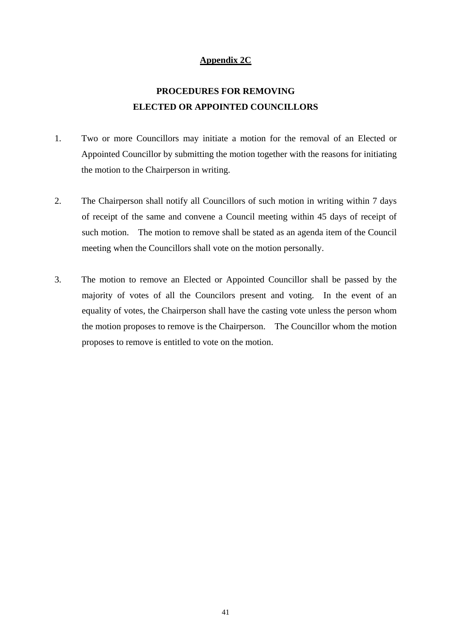# **Appendix 2C**

# **PROCEDURES FOR REMOVING ELECTED OR APPOINTED COUNCILLORS**

- 1. Two or more Councillors may initiate a motion for the removal of an Elected or Appointed Councillor by submitting the motion together with the reasons for initiating the motion to the Chairperson in writing.
- 2. The Chairperson shall notify all Councillors of such motion in writing within 7 days of receipt of the same and convene a Council meeting within 45 days of receipt of such motion. The motion to remove shall be stated as an agenda item of the Council meeting when the Councillors shall vote on the motion personally.
- 3. The motion to remove an Elected or Appointed Councillor shall be passed by the majority of votes of all the Councilors present and voting. In the event of an equality of votes, the Chairperson shall have the casting vote unless the person whom the motion proposes to remove is the Chairperson. The Councillor whom the motion proposes to remove is entitled to vote on the motion.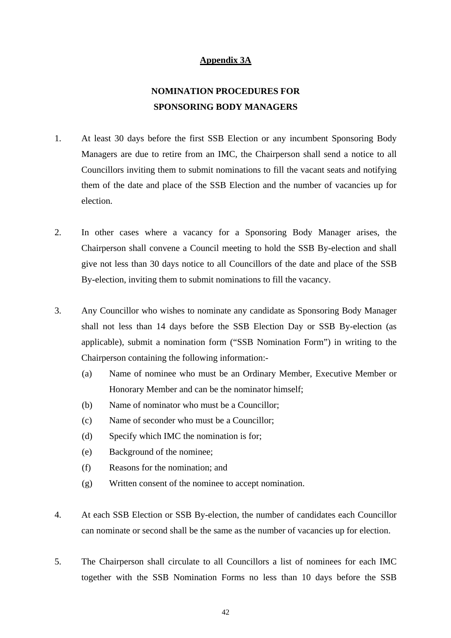# **Appendix 3A**

# **NOMINATION PROCEDURES FOR SPONSORING BODY MANAGERS**

- 1. At least 30 days before the first SSB Election or any incumbent Sponsoring Body Managers are due to retire from an IMC, the Chairperson shall send a notice to all Councillors inviting them to submit nominations to fill the vacant seats and notifying them of the date and place of the SSB Election and the number of vacancies up for election.
- 2. In other cases where a vacancy for a Sponsoring Body Manager arises, the Chairperson shall convene a Council meeting to hold the SSB By-election and shall give not less than 30 days notice to all Councillors of the date and place of the SSB By-election, inviting them to submit nominations to fill the vacancy.
- 3. Any Councillor who wishes to nominate any candidate as Sponsoring Body Manager shall not less than 14 days before the SSB Election Day or SSB By-election (as applicable), submit a nomination form ("SSB Nomination Form") in writing to the Chairperson containing the following information:-
	- (a) Name of nominee who must be an Ordinary Member, Executive Member or Honorary Member and can be the nominator himself;
	- (b) Name of nominator who must be a Councillor;
	- (c) Name of seconder who must be a Councillor;
	- (d) Specify which IMC the nomination is for;
	- (e) Background of the nominee;
	- (f) Reasons for the nomination; and
	- (g) Written consent of the nominee to accept nomination.
- 4. At each SSB Election or SSB By-election, the number of candidates each Councillor can nominate or second shall be the same as the number of vacancies up for election.
- 5. The Chairperson shall circulate to all Councillors a list of nominees for each IMC together with the SSB Nomination Forms no less than 10 days before the SSB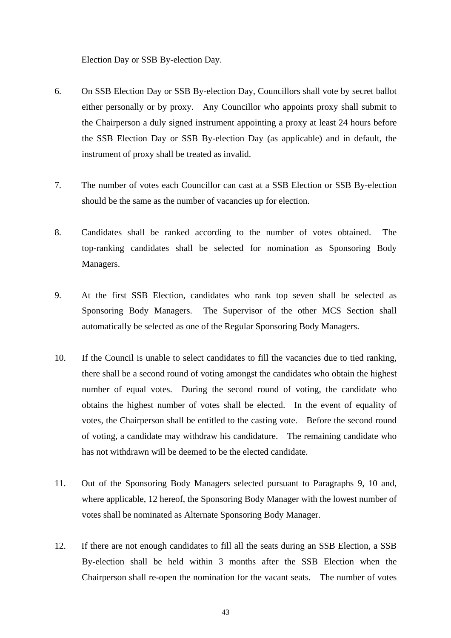Election Day or SSB By-election Day.

- 6. On SSB Election Day or SSB By-election Day, Councillors shall vote by secret ballot either personally or by proxy. Any Councillor who appoints proxy shall submit to the Chairperson a duly signed instrument appointing a proxy at least 24 hours before the SSB Election Day or SSB By-election Day (as applicable) and in default, the instrument of proxy shall be treated as invalid.
- 7. The number of votes each Councillor can cast at a SSB Election or SSB By-election should be the same as the number of vacancies up for election.
- 8. Candidates shall be ranked according to the number of votes obtained. The top-ranking candidates shall be selected for nomination as Sponsoring Body Managers.
- 9. At the first SSB Election, candidates who rank top seven shall be selected as Sponsoring Body Managers. The Supervisor of the other MCS Section shall automatically be selected as one of the Regular Sponsoring Body Managers.
- 10. If the Council is unable to select candidates to fill the vacancies due to tied ranking, there shall be a second round of voting amongst the candidates who obtain the highest number of equal votes. During the second round of voting, the candidate who obtains the highest number of votes shall be elected. In the event of equality of votes, the Chairperson shall be entitled to the casting vote. Before the second round of voting, a candidate may withdraw his candidature. The remaining candidate who has not withdrawn will be deemed to be the elected candidate.
- 11. Out of the Sponsoring Body Managers selected pursuant to Paragraphs 9, 10 and, where applicable, 12 hereof, the Sponsoring Body Manager with the lowest number of votes shall be nominated as Alternate Sponsoring Body Manager.
- 12. If there are not enough candidates to fill all the seats during an SSB Election, a SSB By-election shall be held within 3 months after the SSB Election when the Chairperson shall re-open the nomination for the vacant seats. The number of votes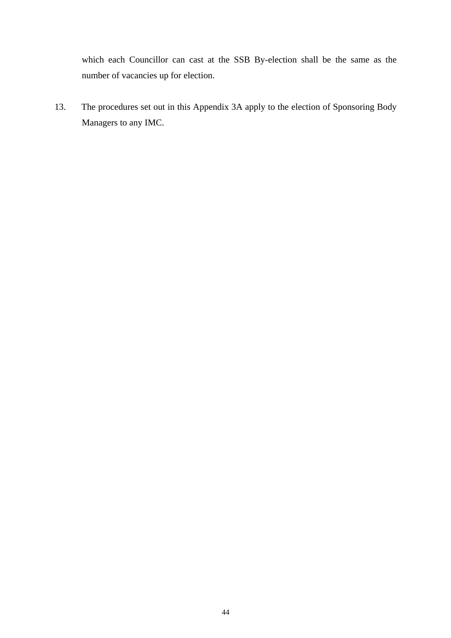which each Councillor can cast at the SSB By-election shall be the same as the number of vacancies up for election.

13. The procedures set out in this Appendix 3A apply to the election of Sponsoring Body Managers to any IMC.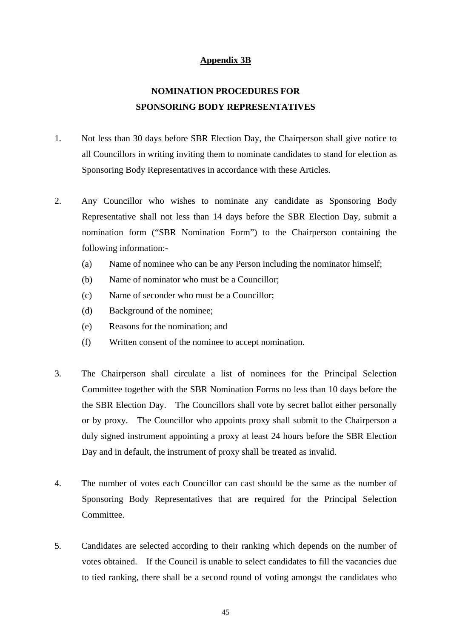# **Appendix 3B**

# **NOMINATION PROCEDURES FOR SPONSORING BODY REPRESENTATIVES**

- 1. Not less than 30 days before SBR Election Day, the Chairperson shall give notice to all Councillors in writing inviting them to nominate candidates to stand for election as Sponsoring Body Representatives in accordance with these Articles.
- 2. Any Councillor who wishes to nominate any candidate as Sponsoring Body Representative shall not less than 14 days before the SBR Election Day, submit a nomination form ("SBR Nomination Form") to the Chairperson containing the following information:-
	- (a) Name of nominee who can be any Person including the nominator himself;
	- (b) Name of nominator who must be a Councillor;
	- (c) Name of seconder who must be a Councillor;
	- (d) Background of the nominee;
	- (e) Reasons for the nomination; and
	- (f) Written consent of the nominee to accept nomination.
- 3. The Chairperson shall circulate a list of nominees for the Principal Selection Committee together with the SBR Nomination Forms no less than 10 days before the the SBR Election Day. The Councillors shall vote by secret ballot either personally or by proxy. The Councillor who appoints proxy shall submit to the Chairperson a duly signed instrument appointing a proxy at least 24 hours before the SBR Election Day and in default, the instrument of proxy shall be treated as invalid.
- 4. The number of votes each Councillor can cast should be the same as the number of Sponsoring Body Representatives that are required for the Principal Selection Committee.
- 5. Candidates are selected according to their ranking which depends on the number of votes obtained. If the Council is unable to select candidates to fill the vacancies due to tied ranking, there shall be a second round of voting amongst the candidates who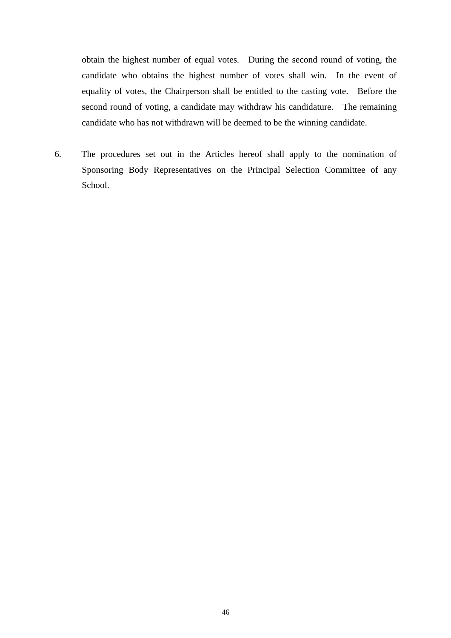obtain the highest number of equal votes. During the second round of voting, the candidate who obtains the highest number of votes shall win. In the event of equality of votes, the Chairperson shall be entitled to the casting vote. Before the second round of voting, a candidate may withdraw his candidature. The remaining candidate who has not withdrawn will be deemed to be the winning candidate.

6. The procedures set out in the Articles hereof shall apply to the nomination of Sponsoring Body Representatives on the Principal Selection Committee of any School.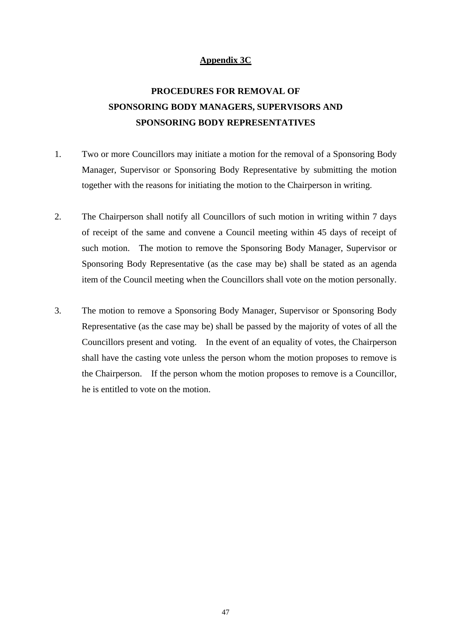# **Appendix 3C**

# **PROCEDURES FOR REMOVAL OF SPONSORING BODY MANAGERS, SUPERVISORS AND SPONSORING BODY REPRESENTATIVES**

- 1. Two or more Councillors may initiate a motion for the removal of a Sponsoring Body Manager, Supervisor or Sponsoring Body Representative by submitting the motion together with the reasons for initiating the motion to the Chairperson in writing.
- 2. The Chairperson shall notify all Councillors of such motion in writing within 7 days of receipt of the same and convene a Council meeting within 45 days of receipt of such motion. The motion to remove the Sponsoring Body Manager, Supervisor or Sponsoring Body Representative (as the case may be) shall be stated as an agenda item of the Council meeting when the Councillors shall vote on the motion personally.
- 3. The motion to remove a Sponsoring Body Manager, Supervisor or Sponsoring Body Representative (as the case may be) shall be passed by the majority of votes of all the Councillors present and voting. In the event of an equality of votes, the Chairperson shall have the casting vote unless the person whom the motion proposes to remove is the Chairperson. If the person whom the motion proposes to remove is a Councillor, he is entitled to vote on the motion.